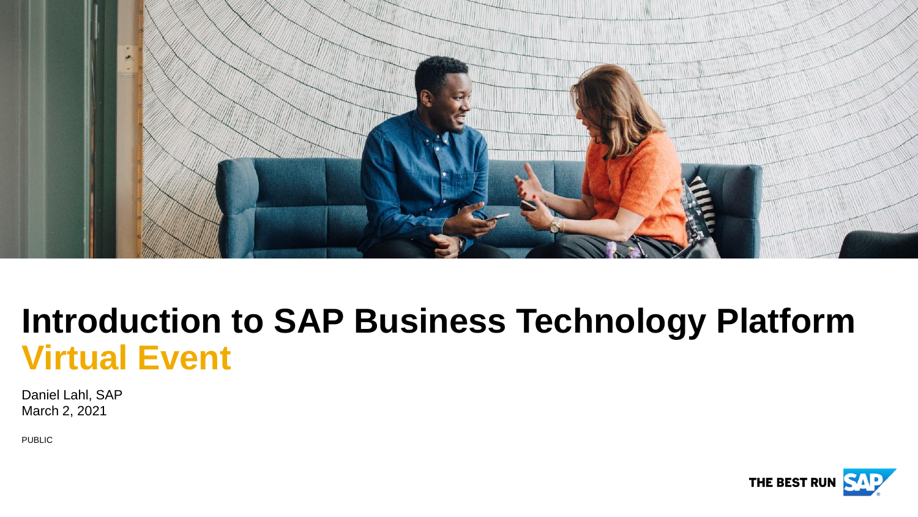

# **Introduction to SAP Business Technology Platform Virtual Event**

Daniel Lahl, SAP March 2, 2021

PUBLIC

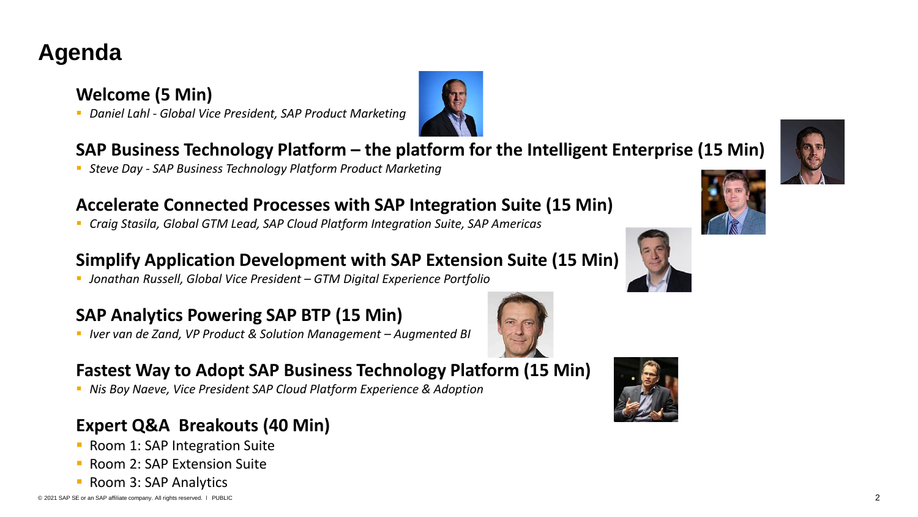# **Welcome (5 Min)**

▪ *Daniel Lahl - Global Vice President, SAP Product Marketing*

### **SAP Business Technology Platform – the platform for the Intelligent Enterprise (15 Min)**

▪ *Steve Day - SAP Business Technology Platform Product Marketing*

### **Accelerate Connected Processes with SAP Integration Suite (15 Min)**

▪ *Craig Stasila, Global GTM Lead, SAP Cloud Platform Integration Suite, SAP Americas*

### **Simplify Application Development with SAP Extension Suite (15 Min)**

■ Jonathan Russell, Global Vice President – GTM Digital Experience Portfolio

## **SAP Analytics Powering SAP BTP (15 Min)**

■ *Iver van de Zand, VP Product & Solution Management – Augmented BI* 

## **Fastest Way to Adopt SAP Business Technology Platform (15 Min)**

■ *Nis Boy Naeve, Vice President SAP Cloud Platform Experience & Adoption* 

## **Expert Q&A Breakouts (40 Min)**

- Room 1: SAP Integration Suite
- Room 2: SAP Extension Suite
- Room 3: SAP Analytics

# **Agenda**